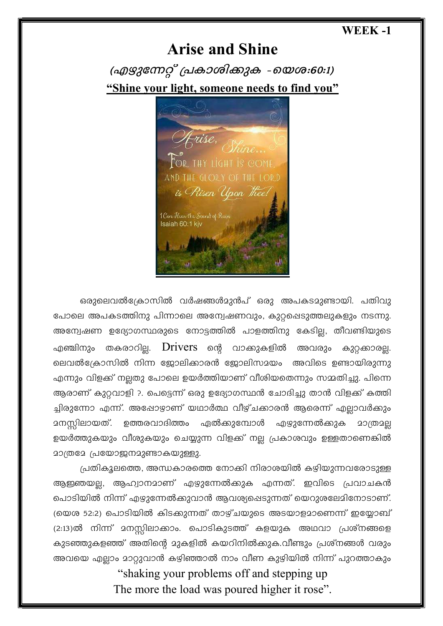## **WEEK -1**

## **Arise and Shine**

(എഴുന്നേറ്റ് പ്രകാശിക്കുക -യെശ:60:1) "Shine your light, someone needs to find you"



ഒരുലെവൽക്രോസിൽ വർഷങ്ങൾമുൻപ് ഒരു അപകടമുണ്ടായി. പതിവു പോലെ അപകടത്തിനു പിന്നാലെ അന്വേഷണവും, കുറ്റപ്പെടുത്തലുകളും നടന്നു. അന്വേഷണ ഉദ്യോഗസ്ഥരുടെ നോട്ടത്തിൽ പാളത്തിനു കേടില്ല, തീവണ്ടിയുടെ എഞ്ചിനും തകരാറില.  $D \text{rivers}$  ന്റെ വാക്കുകളിൽ അവരാം കുറ്റക്കാരല്ല. ലെവൽക്രോസിൽ നിന്ന ജോലിക്കാരൻ ജോലിസമയം അവിടെ ഉണ്ടായിരുന്നു എന്നും വിളക്ക് നല്ലതു പോലെ ഉയർത്തിയാണ് വീശിയതെന്നും സമ്മതിച്ചു. പിന്നെ ആരാണ് കുറ്റവാളി ?. പെട്ടെന്ന് ഒരു ഉദ്യോഗസ്ഥൻ ചോദിച്ചു താൻ വിളക്ക് കത്തി ച്ചിരുന്നോ എന്ന്. അഷോഴാണ് യഥാർത്ഥ വീഴ്ചക്കാരൻ ആരെന്ന് എല്ലാവർക്കും ഉത്തരവാദിത്തം ഏൽക്കുമ്പോൾ എഴുന്നേൽക്കുക മനസ്സിലായത്. മാത്രമല ഉയർത്തുകയും വീശുകയും ചെയ്യുന്ന വിളക്ക് നല്ല പ്രകാശവും ഉള്ളതാണെങ്കിൽ മാത്രമേ പ്രയോജനമുണ്ടാകയുള്ളു.

പ്രതികൂലത്തെ, അന്ധകാരത്തെ നോക്കി നിരാശയിൽ കഴിയുന്നവരോടുള്ള ആഇഞയല്ല, ആഹ്വാനമാണ് എഴുന്നേൽക്കുക എന്നത്. ഇവിടെ പ്രവാചകൻ പൊടിയിൽ നിന്ന് എഴുന്നേൽക്കുവാൻ ആവശ്യപ്പെടുന്നത് യെറുശലേമിനോടാണ്. (യെശ 52:2) പൊടിയിൽ കിടക്കുന്നത് താഴ്ചയുടെ അടയാളമാണെന്ന് ഇയ്യോബ് (2:13)ൽ നിന്ന് മനസ്സിലാക്കാം. പൊടികുടത്ത് കളയുക അഥവാ പ്രശ്നങ്ങളെ കുടഞ്ഞുകളഞ്ഞ് അതിന്റെ മുകളിൽ കയറിനിൽക്കുക.വീണ്ടും പ്രശ്നങ്ങൾ വരും അവയെ എല്ലാം മാറ്റുവാൻ കഴിഞ്ഞാൽ നാം വീണ കുഴിയിൽ നിന്ന് പുറത്താകും

"shaking your problems off and stepping up The more the load was poured higher it rose".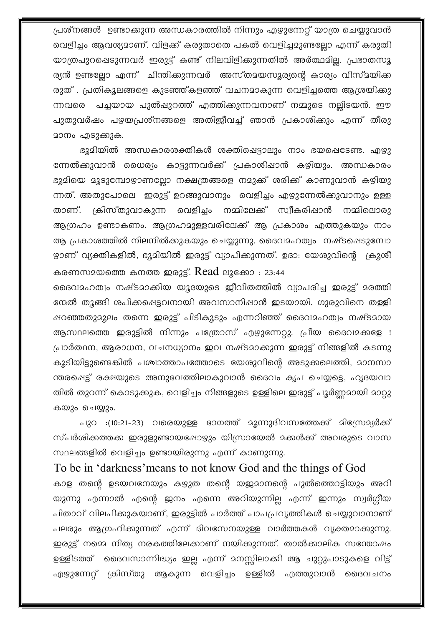പ്രശ്നങ്ങൾ ഉണ്ടാക്കുന്ന അന്ധകാരത്തിൽ നിന്നും എഴുന്നേറ്റ് യാത്ര ചെയ്യുവാൻ വെളിച്ചം ആവശ്യമാണ്. വിളക്ക് കരുതാതെ പകൽ വെളിച്ചമുണ്ടല്ലോ എന്ന് കരുതി യാത്രപുറപ്പെടുന്നവർ ഇരുട്ട് കണ്ട് നിലവിളിക്കുന്നതിൽ അർത്ഥമില്ല. പ്രഭാതസൂ ര്യൻ ഉണ്ടല്ലോ എന്ന് ചിന്തിക്കുന്നവർ അസ്തമയസൂര്യന്റെ കാര്യം വിസ്മയിക്ക രുത് . പ്രതികൂലങ്ങളെ കുടഞ്ഞ്കളഞ്ഞ് വചനമാകുന്ന വെളിച്ചത്തെ ആശ്രയിക്കു ന്നവരെ പച്ചയായ പുൽഷുറത്ത് എത്തിക്കുന്നവനാണ് നമ്മുടെ നല്ലിടയൻ. ഈ പുതുവർഷം പഴയപ്രശ്നങ്ങളെ അതിജീവച്ച് ഞാൻ പ്രകാശിക്കും എന്ന് തീരു മാനം എടുക്കുക.

ഭൂമിയിൽ അന്ധകാരശക്തികൾ ശക്തിപ്പെട്ടാലും നാം ഭയപ്പെടേണ്ട. എഴു ന്നേൽക്കുവാൻ ധൈര്യം കാട്ടുന്നവർക്ക് പ്രകാശിഷാൻ കഴിയും. അന്ധകാരം ഭൂമിയെ മൂടുമ്പോഴാണല്ലോ നക്ഷത്രങ്ങളെ നമുക്ക് ശരിക്ക് കാണുവാൻ കഴിയു ന്നത്. അതുപോലെ ഇരുട്ട് ഉറങ്ങുവാനും വെളിച്ചം എഴുന്നേൽക്കുവാനും ഉള്ള താണ്. ക്രിസ്തുവാകുന്ന വെളിച്ചം നമ്മിലേക്ക് സ്വീകരിഷാൻ നമ്മിലൊരു ആഗ്രഹം ഉണ്ടാകണം. ആഗ്രഹമുള്ളവരിലേക്ക് ആ പ്രകാശം എത്തുകയും നാം ആ പ്രകാശത്തിൽ നിലനിൽക്കുകയും ചെയ്യുന്നു. ദൈവമഹത്വം നഷ്ടപ്പെടുമ്പോ ഴ്യാണ് വ്യക്തികളിൽ, ഭൂമിയിൽ ഇരുട്ട് വ്യാപിക്കുന്നത്. ഉദാ: യേശുവിന്റെ ക്രൂശീ കരണസമയത്തെ കനത്ത ഇരുട്ട്. Read ലൂക്കോ : 23:44

ദൈവാഹത്വം നഷ്ടമാക്കിയ യൂദയുടെ ജീവിതത്തിൽ വ്യാപരിച്ച ഇരുട്ട് മരത്തി ന്മേൽ തൂങ്ങി ശപിക്കപ്പെട്ടവനായി അവസാനിപ്പാൻ ഇടയായി. ഗുരുവിനെ തള്ളി ഷറഞ്ഞതുമൂലം തന്നെ ഇരുട്ട് പിടികൂടും എന്നറിഞ്ഞ് ദൈവമഹത്വം നഷ്ടമായ ആസ്ഥലത്തെ ഇരുട്ടിൽ നിന്നും പത്രോസ് എഴുന്നേറ്റു. പ്രീയ ദൈവമക്കളേ ! പ്രാർത്ഥന, ആരാധന, വചനധ്യാനം ഇവ നഷ്ടമാക്കുന്ന ഇരുട്ട് നിങ്ങളിൽ കടന്നു കൂടിയിട്ടുണ്ടെങ്കിൽ പശ്ചാത്താപത്തോടെ യേശുവിന്റെ അടുക്കലെത്തി, മാനസാ ന്തരപ്പെട്ട് രക്ഷയുടെ അനുഭവത്തിലാകുവാൻ ദൈവം കൃപ ചെയ്യട്ടെ, ഹൃദയവാ തിൽ തുറന്ന് കൊടുക്കുക, വെളിച്ചം നിങ്ങളുടെ ഉള്ളിലെ ഇരുട്ട് പൂർണ്ണമായി മാറ്റു കയും ചെയ്യും.

പുറ :(10:21-23) വരെയുള്ള ഭാഗത്ത് മൂന്നുദിവസത്തേക്ക് മിസ്രേമ്യർക്ക് സ്പർശിക്കത്തക്ക ഇരുളുണ്ടായപ്പോഴും യിസ്രായേൽ മക്കൾക്ക് അവരുടെ വാസ സ്ഥലങ്ങളിൽ വെളിച്ചം ഉണ്ടായിരുന്നു എന്ന് കാണുന്നു.

## To be in 'darkness' means to not know God and the things of God

കാള തന്റെ ഉടയവനേയും കഴുത തന്റെ യജമാനന്റെ പുൽത്തൊട്ടിയും അറി യുന്നു എന്നാൽ എന്റെ ജനം എന്നെ അറിയുന്നില്ല എന്ന് ഇന്നും സ്വർഗ്ഗീയ പിതാവ് വിലപിക്കുകയാണ്, ഇരുട്ടിൽ പാർത്ത് പാപപ്രവൃത്തികൾ ചെയ്യുവാനാണ് പലരും ആഗ്രഹിക്കുന്നത് എന്ന് ദിവസേനയുള്ള വാർത്തകൾ വൃക്തമാക്കുന്നു. ഇരുട്ട് നമ്മെ നിത്യ നരകത്തിലേക്കാണ് നയിക്കുന്നത്. താൽക്കാലിക സന്തോഷം ഉള്ളിടത്ത് ദൈവസാന്നിദ്ധ്യം ഇല്ല എന്ന് മനസ്സിലാക്കി ആ ചുറ്റുപാടുകളെ വിട്ട് എഴുന്നേറ്റ് ക്രിസ്തു ആകുന്ന വെളിച്ചം ഉള്ളിൽ എത്തുവാൻ ദൈവചനം